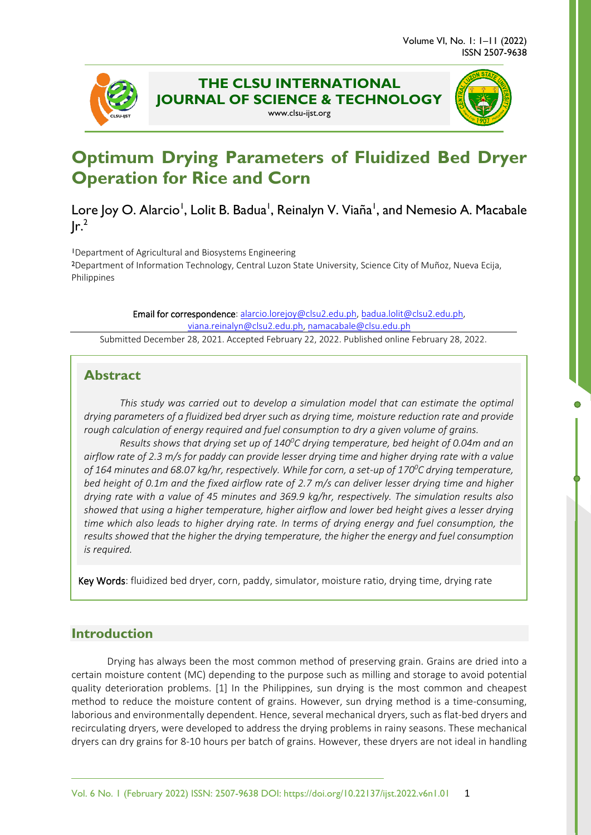

# **THE CLSU INTERNATIONAL JOURNAL OF SCIENCE & TECHNOLOGY** www.clsu-ijst.org



# **Optimum Drying Parameters of Fluidized Bed Dryer Operation for Rice and Corn**

# Lore Joy O. Alarcio<sup>1</sup>, Lolit B. Badua<sup>1</sup>, Reinalyn V. Viaña<sup>1</sup>, and Nemesio A. Macabale  $Ir.<sup>2</sup>$

<sup>1</sup>Department of Agricultural and Biosystems Engineering

<sup>2</sup>Department of Information Technology, Central Luzon State University, Science City of Muñoz, Nueva Ecija, Philippines

> Email for correspondence[: alarcio.lorejoy@clsu2.edu.ph,](mailto:alarcio.lorejoy@clsu2.edu.ph) [badua.lolit@clsu2.edu.ph,](mailto:badua.lolit@clsu2.edu.ph) [viana.reinalyn@clsu2.edu.ph,](mailto:viana.reinalyn@clsu2.edu.ph) [namacabale@clsu.edu.ph](mailto:namacabale@clsu.edu.ph)

Submitted December 28, 2021. Accepted February 22, 2022. Published online February 28, 2022.

# **Abstract**

*This study was carried out to develop a simulation model that can estimate the optimal drying parameters of a fluidized bed dryer such as drying time, moisture reduction rate and provide rough calculation of energy required and fuel consumption to dry a given volume of grains.*

Results shows that drying set up of 140<sup>o</sup>C drying temperature, bed height of 0.04m and an *airflow rate of 2.3 m/s for paddy can provide lesser drying time and higher drying rate with a value*  of 164 minutes and 68.07 kg/hr, respectively. While for corn, a set-up of 170<sup>0</sup>C drying temperature, *bed height of 0.1m and the fixed airflow rate of 2.7 m/s can deliver lesser drying time and higher drying rate with a value of 45 minutes and 369.9 kg/hr, respectively. The simulation results also showed that using a higher temperature, higher airflow and lower bed height gives a lesser drying time which also leads to higher drying rate. In terms of drying energy and fuel consumption, the results showed that the higher the drying temperature, the higher the energy and fuel consumption is required.*

Key Words: fluidized bed dryer, corn, paddy, simulator, moisture ratio, drying time, drying rate

# **Introduction**

Drying has always been the most common method of preserving grain. Grains are dried into a certain moisture content (MC) depending to the purpose such as milling and storage to avoid potential quality deterioration problems. [1] In the Philippines, sun drying is the most common and cheapest method to reduce the moisture content of grains. However, sun drying method is a time-consuming, laborious and environmentally dependent. Hence, several mechanical dryers, such as flat-bed dryers and recirculating dryers, were developed to address the drying problems in rainy seasons. These mechanical dryers can dry grains for 8-10 hours per batch of grains. However, these dryers are not ideal in handling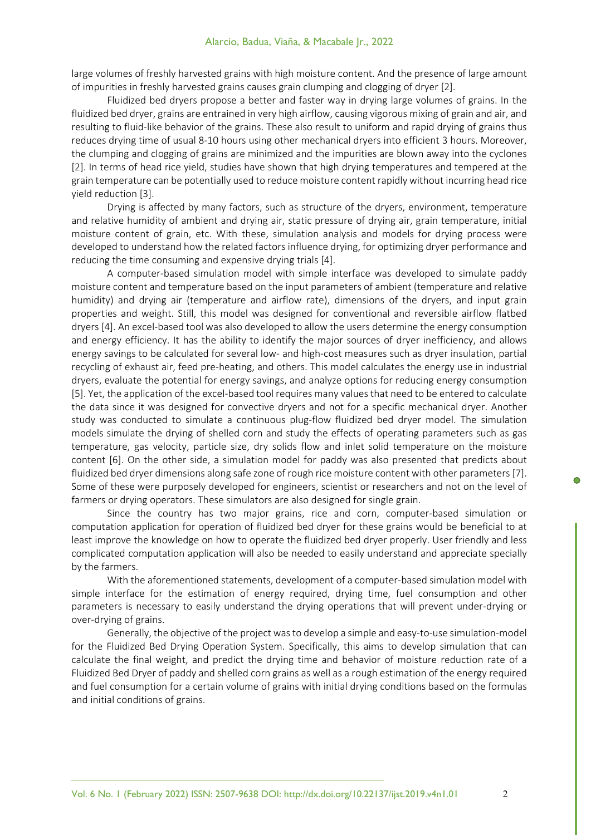large volumes of freshly harvested grains with high moisture content. And the presence of large amount of impurities in freshly harvested grains causes grain clumping and clogging of dryer [2].

Fluidized bed dryers propose a better and faster way in drying large volumes of grains. In the fluidized bed dryer, grains are entrained in very high airflow, causing vigorous mixing of grain and air, and resulting to fluid-like behavior of the grains. These also result to uniform and rapid drying of grains thus reduces drying time of usual 8-10 hours using other mechanical dryers into efficient 3 hours. Moreover, the clumping and clogging of grains are minimized and the impurities are blown away into the cyclones [2]. In terms of head rice yield, studies have shown that high drying temperatures and tempered at the grain temperature can be potentially used to reduce moisture content rapidly without incurring head rice yield reduction [3].

Drying is affected by many factors, such as structure of the dryers, environment, temperature and relative humidity of ambient and drying air, static pressure of drying air, grain temperature, initial moisture content of grain, etc. With these, simulation analysis and models for drying process were developed to understand how the related factors influence drying, for optimizing dryer performance and reducing the time consuming and expensive drying trials [4].

A computer-based simulation model with simple interface was developed to simulate paddy moisture content and temperature based on the input parameters of ambient (temperature and relative humidity) and drying air (temperature and airflow rate), dimensions of the dryers, and input grain properties and weight. Still, this model was designed for conventional and reversible airflow flatbed dryers [4]. An excel-based tool was also developed to allow the users determine the energy consumption and energy efficiency. It has the ability to identify the major sources of dryer inefficiency, and allows energy savings to be calculated for several low- and high-cost measures such as dryer insulation, partial recycling of exhaust air, feed pre-heating, and others. This model calculates the energy use in industrial dryers, evaluate the potential for energy savings, and analyze options for reducing energy consumption [5]. Yet, the application of the excel-based tool requires many values that need to be entered to calculate the data since it was designed for convective dryers and not for a specific mechanical dryer. Another study was conducted to simulate a continuous plug-flow fluidized bed dryer model. The simulation models simulate the drying of shelled corn and study the effects of operating parameters such as gas temperature, gas velocity, particle size, dry solids flow and inlet solid temperature on the moisture content [6]. On the other side, a simulation model for paddy was also presented that predicts about fluidized bed dryer dimensions along safe zone of rough rice moisture content with other parameters [7]. Some of these were purposely developed for engineers, scientist or researchers and not on the level of farmers or drying operators. These simulators are also designed for single grain.

Since the country has two major grains, rice and corn, computer-based simulation or computation application for operation of fluidized bed dryer for these grains would be beneficial to at least improve the knowledge on how to operate the fluidized bed dryer properly. User friendly and less complicated computation application will also be needed to easily understand and appreciate specially by the farmers.

With the aforementioned statements, development of a computer-based simulation model with simple interface for the estimation of energy required, drying time, fuel consumption and other parameters is necessary to easily understand the drying operations that will prevent under-drying or over-drying of grains.

Generally, the objective of the project was to develop a simple and easy-to-use simulation-model for the Fluidized Bed Drying Operation System. Specifically, this aims to develop simulation that can calculate the final weight, and predict the drying time and behavior of moisture reduction rate of a Fluidized Bed Dryer of paddy and shelled corn grains as well as a rough estimation of the energy required and fuel consumption for a certain volume of grains with initial drying conditions based on the formulas and initial conditions of grains.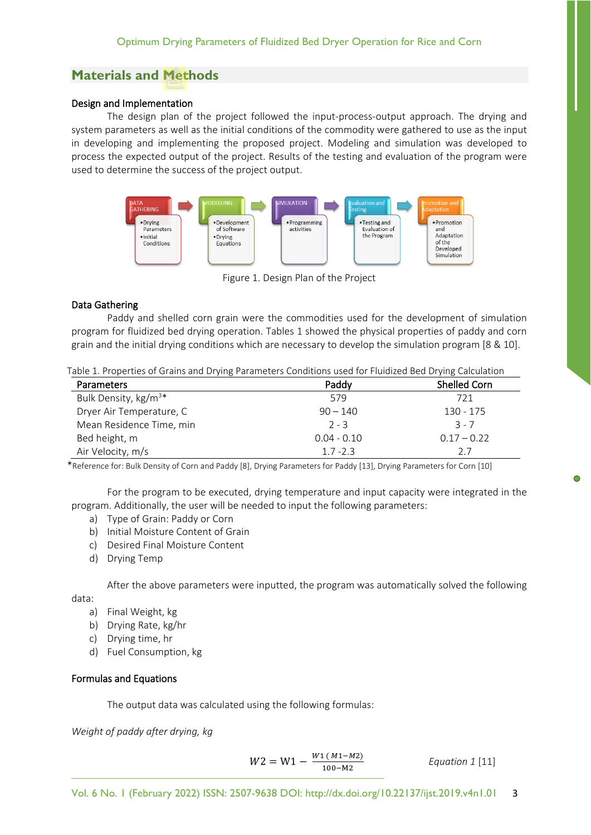# **Materials and Methods**

### Design and Implementation

The design plan of the project followed the input-process-output approach. The drying and system parameters as well as the initial conditions of the commodity were gathered to use as the input in developing and implementing the proposed project. Modeling and simulation was developed to process the expected output of the project. Results of the testing and evaluation of the program were used to determine the success of the project output.



Figure 1. Design Plan of the Project

### Data Gathering

Paddy and shelled corn grain were the commodities used for the development of simulation program for fluidized bed drying operation. Tables 1 showed the physical properties of paddy and corn grain and the initial drying conditions which are necessary to develop the simulation program [8 & 10].

Table 1. Properties of Grains and Drying Parameters Conditions used for Fluidized Bed Drying Calculation

| <b>Parameters</b>                | Paddy         | <b>Shelled Corn</b> |
|----------------------------------|---------------|---------------------|
| Bulk Density, kg/m <sup>3*</sup> | 579           | 721                 |
| Dryer Air Temperature, C         | $90 - 140$    | 130 - 175           |
| Mean Residence Time, min         | $2 - 3$       | $3 - 7$             |
| Bed height, m                    | $0.04 - 0.10$ | $0.17 - 0.22$       |
| Air Velocity, m/s                | $1.7 - 2.3$   | 27                  |

\*Reference for: Bulk Density of Corn and Paddy [8], Drying Parameters for Paddy [13], Drying Parameters for Corn [10]

For the program to be executed, drying temperature and input capacity were integrated in the program. Additionally, the user will be needed to input the following parameters:

- a) Type of Grain: Paddy or Corn
- b) Initial Moisture Content of Grain
- c) Desired Final Moisture Content
- d) Drying Temp

After the above parameters were inputted, the program was automatically solved the following

data:

- a) Final Weight, kg
- b) Drying Rate, kg/hr
- c) Drying time, hr
- d) Fuel Consumption, kg

# Formulas and Equations

The output data was calculated using the following formulas:

*Weight of paddy after drying, kg*

$$
W2 = W1 - \frac{W1(M1 - M2)}{100 - M2}
$$

*Equation 1* [11]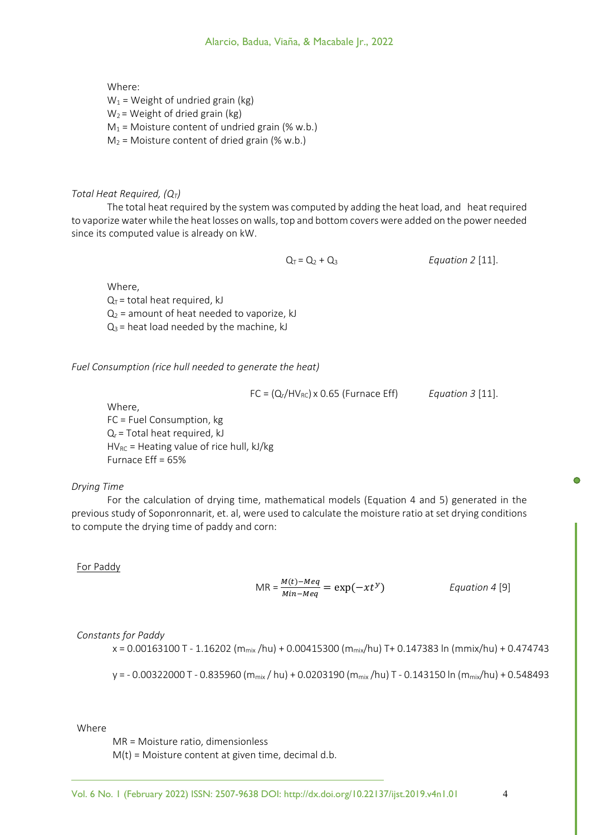Where:  $W_1$  = Weight of undried grain (kg)  $W_2$  = Weight of dried grain (kg)  $M_1$  = Moisture content of undried grain (% w.b.)  $M_2$  = Moisture content of dried grain (% w.b.)

*Total Heat Required, (QT)*

The total heat required by the system was computed by adding the heat load, and heat required to vaporize water while the heat losses on walls, top and bottom covers were added on the power needed since its computed value is already on kW.

 $Q_T = Q_2 + Q_3$  *Equation 2* [11].

Where,  $Q_T$  = total heat required, kJ  $Q<sub>2</sub>$  = amount of heat needed to vaporize, kJ  $Q_3$  = heat load needed by the machine, kJ

*Fuel Consumption (rice hull needed to generate the heat)*

 $FC = (Q_r/HV_{RC}) \times 0.65$  (Furnace Eff) *Equation 3* [11].

Where, FC = Fuel Consumption, kg  $Q_r$  = Total heat required, kJ  $HV_{RC}$  = Heating value of rice hull, kJ/kg Furnace Eff = 65%

# *Drying Time*

For the calculation of drying time, mathematical models (Equation 4 and 5) generated in the previous study of Soponronnarit, et. al, were used to calculate the moisture ratio at set drying conditions to compute the drying time of paddy and corn:

# For Paddy

$$
MR = \frac{M(t) - Meq}{Min - Meq} = \exp(-xt^y) \qquad \text{Equation 4 [9]}
$$

# *Constants for Paddy*

 $x = 0.00163100$  T - 1.16202 (m<sub>mix</sub>/hu) + 0.00415300 (m<sub>mix</sub>/hu) T+ 0.147383 ln (mmix/hu) + 0.474743

y = -0.00322000 T - 0.835960 (m<sub>mix</sub> / hu) + 0.0203190 (m<sub>mix</sub> / hu) T - 0.143150 ln (m<sub>mix</sub>/hu) + 0.548493

Where

MR = Moisture ratio, dimensionless

 $M(t)$  = Moisture content at given time, decimal d.b.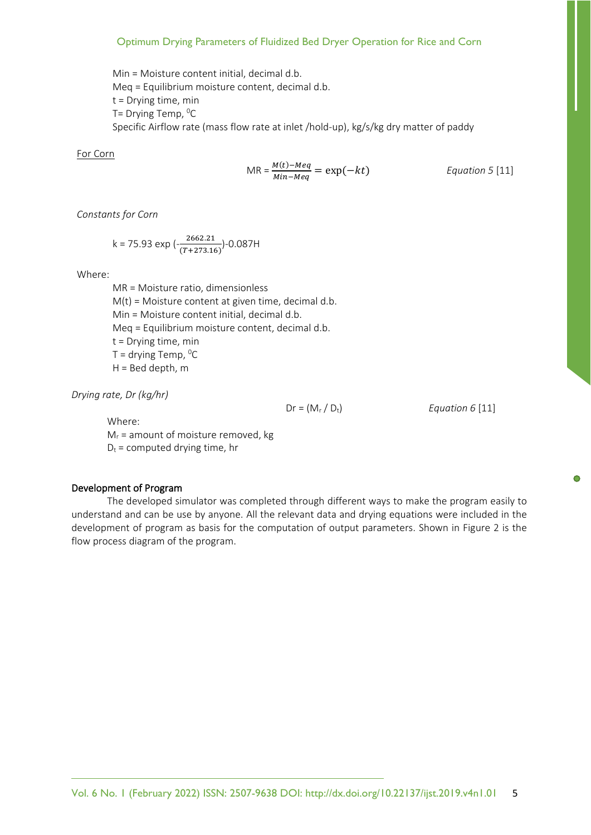### Optimum Drying Parameters of Fluidized Bed Dryer Operation for Rice and Corn

Min = Moisture content initial, decimal d.b. Meq = Equilibrium moisture content, decimal d.b. t = Drying time, min T= Drying Temp, <sup>o</sup>C Specific Airflow rate (mass flow rate at inlet /hold-up), kg/s/kg dry matter of paddy

For Corn

$$
MR = \frac{M(t) - Meq}{Min - Meq} = \exp(-kt)
$$
 *Equation 5 [11]*

 $Dr = (M_r / D_t)$  *Equation 6* [11]

*Constants for Corn*

k = 75.93 exp 
$$
\left(\frac{2662.21}{(T+273.16)}\right)
$$
-0.087H

Where:

MR = Moisture ratio, dimensionless  $M(t)$  = Moisture content at given time, decimal d.b. Min = Moisture content initial, decimal d.b. Meq = Equilibrium moisture content, decimal d.b. t = Drying time, min T = drying Temp, <sup>o</sup>C  $H =$  Bed depth,  $m$ 

*Drying rate, Dr (kg/hr)*

Where:  $M_r$  = amount of moisture removed, kg  $D_t$  = computed drying time, hr

#### Development of Program

The developed simulator was completed through different ways to make the program easily to understand and can be use by anyone. All the relevant data and drying equations were included in the development of program as basis for the computation of output parameters. Shown in Figure 2 is the flow process diagram of the program.

 $\bullet$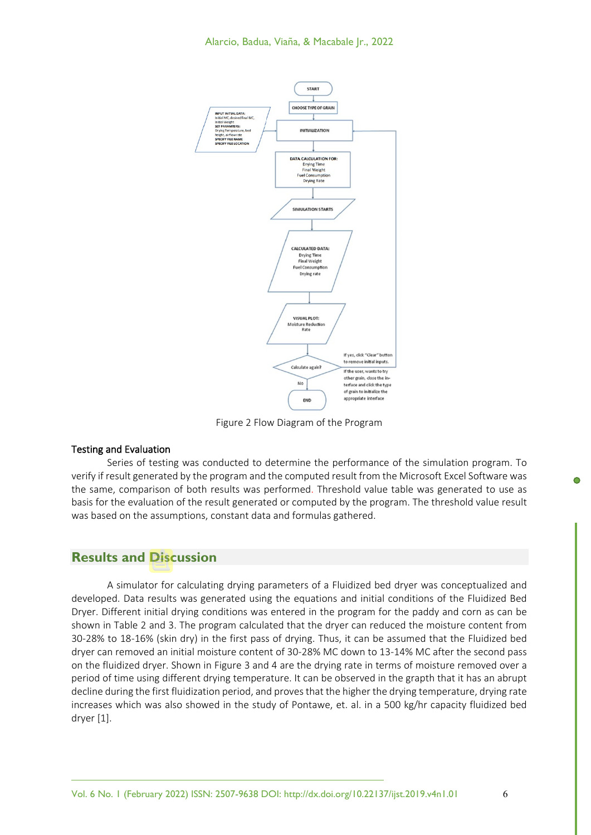

Figure 2 Flow Diagram of the Program

# Testing and Evaluation

Series of testing was conducted to determine the performance of the simulation program. To verify if result generated by the program and the computed result from the Microsoft Excel Software was the same, comparison of both results was performed. Threshold value table was generated to use as basis for the evaluation of the result generated or computed by the program. The threshold value result was based on the assumptions, constant data and formulas gathered.

# **Results and Discussion**

A simulator for calculating drying parameters of a Fluidized bed dryer was conceptualized and developed. Data results was generated using the equations and initial conditions of the Fluidized Bed Dryer. Different initial drying conditions was entered in the program for the paddy and corn as can be shown in Table 2 and 3. The program calculated that the dryer can reduced the moisture content from 30-28% to 18-16% (skin dry) in the first pass of drying. Thus, it can be assumed that the Fluidized bed dryer can removed an initial moisture content of 30-28% MC down to 13-14% MC after the second pass on the fluidized dryer. Shown in Figure 3 and 4 are the drying rate in terms of moisture removed over a period of time using different drying temperature. It can be observed in the grapth that it has an abrupt decline during the first fluidization period, and proves that the higher the drying temperature, drying rate increases which was also showed in the study of Pontawe, et. al. in a 500 kg/hr capacity fluidized bed dryer [1].

 $\bigcap$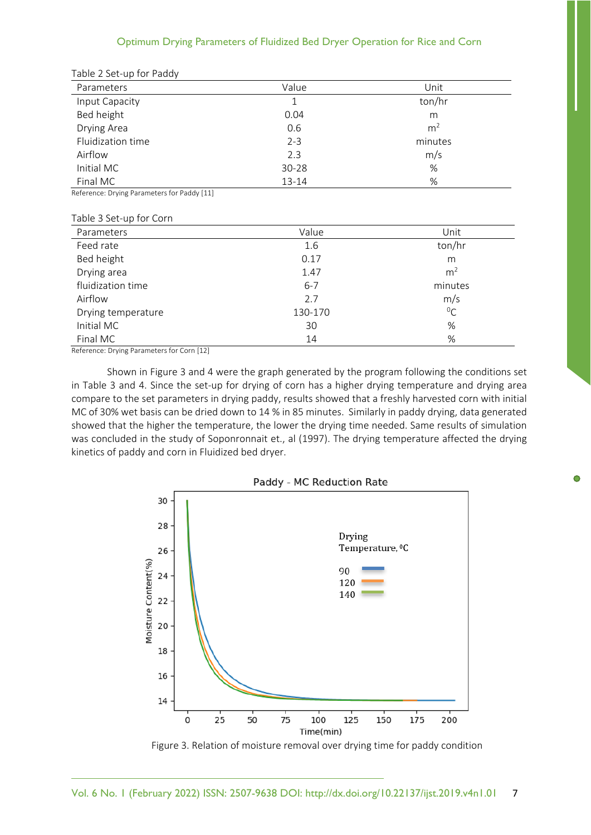### Optimum Drying Parameters of Fluidized Bed Dryer Operation for Rice and Corn

| $\epsilon$        |           |                |  |
|-------------------|-----------|----------------|--|
| Parameters        | Value     | Unit           |  |
| Input Capacity    |           | ton/hr         |  |
| Bed height        | 0.04      | m              |  |
| Drying Area       | 0.6       | m <sup>2</sup> |  |
| Fluidization time | $2 - 3$   | minutes        |  |
| Airflow           | 2.3       | m/s            |  |
| Initial MC        | $30 - 28$ | %              |  |
| Final MC          | 13-14     | %              |  |
|                   |           |                |  |

Table 2 Set-up for Paddy

Reference: Drying Parameters for Paddy [11]

Table 3 Set-up for Corn

| . a.o. o o o o o a <sub>l</sub> o. o o o |         |                |
|------------------------------------------|---------|----------------|
| Parameters                               | Value   | Unit           |
| Feed rate                                | 1.6     | ton/hr         |
| Bed height                               | 0.17    | m              |
| Drying area                              | 1.47    | m <sup>2</sup> |
| fluidization time                        | $6 - 7$ | minutes        |
| Airflow                                  | 2.7     | m/s            |
| Drying temperature                       | 130-170 | $^{0}C$        |
| Initial MC                               | 30      | %              |
| Final MC                                 | 14      | $\%$           |

Reference: Drying Parameters for Corn [12]

Shown in Figure 3 and 4 were the graph generated by the program following the conditions set in Table 3 and 4. Since the set-up for drying of corn has a higher drying temperature and drying area compare to the set parameters in drying paddy, results showed that a freshly harvested corn with initial MC of 30% wet basis can be dried down to 14 % in 85 minutes. Similarly in paddy drying, data generated showed that the higher the temperature, the lower the drying time needed. Same results of simulation was concluded in the study of Soponronnait et., al (1997). The drying temperature affected the drying kinetics of paddy and corn in Fluidized bed dryer.



Figure 3. Relation of moisture removal over drying time for paddy condition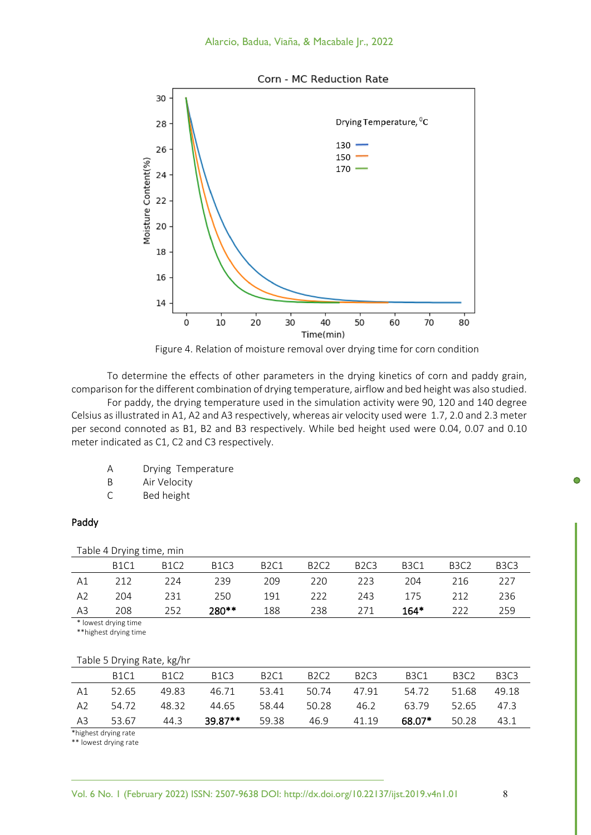

Figure 4. Relation of moisture removal over drying time for corn condition

To determine the effects of other parameters in the drying kinetics of corn and paddy grain, comparison for the different combination of drying temperature, airflow and bed height was also studied.

For paddy, the drying temperature used in the simulation activity were 90, 120 and 140 degree Celsius as illustrated in A1, A2 and A3 respectively, whereas air velocity used were 1.7, 2.0 and 2.3 meter per second connoted as B1, B2 and B3 respectively. While bed height used were 0.04, 0.07 and 0.10 meter indicated as C1, C2 and C3 respectively.

- A Drying Temperature
- B Air Velocity
- C Bed height

### Paddy

Table 4 Drying time, min

|                | <b>B1C1</b>          | <b>B1C2</b> | <b>B1C3</b> | <b>B2C1</b> | <b>B2C2</b> | <b>B2C3</b> | B <sub>3</sub> C <sub>1</sub> | B <sub>3</sub> C <sub>2</sub> | B <sub>3</sub> C <sub>3</sub> |
|----------------|----------------------|-------------|-------------|-------------|-------------|-------------|-------------------------------|-------------------------------|-------------------------------|
| Α1             | 212                  | 224         | 239         | 209         | 220         | 223         | 204                           | 216                           | 227                           |
| A <sub>2</sub> | 204                  | 231         | 250         | 191         | 222         | 243         | 175                           | 212                           | 236                           |
| A <sub>3</sub> | 208                  | 252         | 280**       | 188         | 238         | 271         | $164*$                        | 222                           | 259                           |
|                | * lowest druing time |             |             |             |             |             |                               |                               |                               |

owest drying time \*\*highest drying time

#### Table 5 Drying Rate, kg/hr

|    | B1C1  | B <sub>1</sub> C <sub>2</sub> | B1C3    | B <sub>2</sub> C <sub>1</sub> | B <sub>2</sub> C <sub>2</sub> | B <sub>2</sub> C <sub>3</sub> | B <sub>3</sub> C <sub>1</sub> | B <sub>3</sub> C <sub>2</sub> | B <sub>3</sub> C <sub>3</sub> |
|----|-------|-------------------------------|---------|-------------------------------|-------------------------------|-------------------------------|-------------------------------|-------------------------------|-------------------------------|
| A1 | 52.65 | 49.83                         | 46.71   |                               | 53.41 50.74 47.91             |                               | 54.72                         | 51.68                         | 49.18                         |
| A2 | 54.72 | 48.32                         |         |                               | 44.65 58.44 50.28             | 46.2                          | 63.79                         | 52.65 47.3                    |                               |
| A3 | 53.67 | 44.3                          | 39.87** | 59.38                         | 46.9                          | 41.19                         | 68.07*                        | 50.28                         | 43.1                          |

\*highest drying rate \*\* lowest drying rate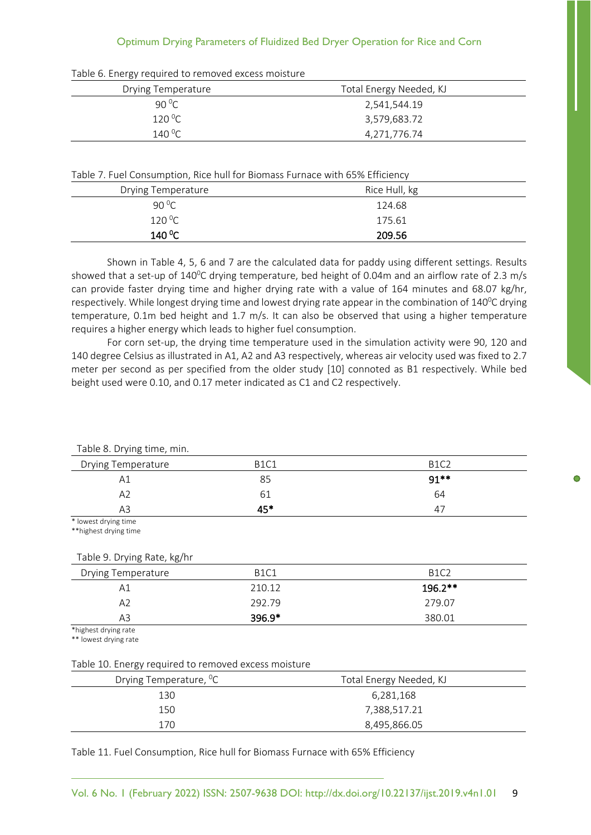#### Optimum Drying Parameters of Fluidized Bed Dryer Operation for Rice and Corn

| ັ                  |                         |  |
|--------------------|-------------------------|--|
| Drying Temperature | Total Energy Needed, KJ |  |
| 90 $\degree$ C     | 2,541,544.19            |  |
| $120^{\circ}$ C    | 3,579,683.72            |  |
| $140\,^{\circ}$ C  | 4,271,776.74            |  |
|                    |                         |  |

Table 6. Energy required to removed excess moisture

Table 7. Fuel Consumption, Rice hull for Biomass Furnace with 65% Efficiency

| <b>Drying Temperature</b> | Rice Hull, kg |
|---------------------------|---------------|
| 90 $\degree$ C            | 124.68        |
| $120\,^{\circ}$ C         | 175.61        |
| $140^{\circ}$ C           | 209.56        |

Shown in Table 4, 5, 6 and 7 are the calculated data for paddy using different settings. Results showed that a set-up of  $140^{\circ}$ C drying temperature, bed height of 0.04m and an airflow rate of 2.3 m/s can provide faster drying time and higher drying rate with a value of 164 minutes and 68.07 kg/hr, respectively. While longest drying time and lowest drying rate appear in the combination of 140<sup>0</sup>C drying temperature, 0.1m bed height and 1.7 m/s. It can also be observed that using a higher temperature requires a higher energy which leads to higher fuel consumption.

For corn set-up, the drying time temperature used in the simulation activity were 90, 120 and 140 degree Celsius as illustrated in A1, A2 and A3 respectively, whereas air velocity used was fixed to 2.7 meter per second as per specified from the older study [10] connoted as B1 respectively. While bed beight used were 0.10, and 0.17 meter indicated as C1 and C2 respectively.

| Table 8. Drying time, min. |             |             |
|----------------------------|-------------|-------------|
| <b>Drying Temperature</b>  | <b>B1C1</b> | <b>B1C2</b> |
| Α1                         | 85          | $91***$     |
| A <sub>2</sub>             | -61         | 64          |
| A3                         | 45*         |             |

\* lowest drying time

\*\*highest drying time

Table 9. Drying Rate, kg/hr

| <b>Drying Temperature</b> | <b>B1C1</b> | <b>B1C2</b> |
|---------------------------|-------------|-------------|
| Α1                        | 210.12      | $196.2**$   |
| А2                        | 292.79      | 279.07      |
| A3                        | 396.9*      | 380.01      |
| *highest drying rate      |             |             |

\*\* lowest drying rate

Table 10. Energy required to removed excess moisture

| Drying Temperature, <sup>o</sup> C | Total Energy Needed, KJ |
|------------------------------------|-------------------------|
| 130                                | 6,281,168               |
| 150                                | 7,388,517.21            |
| 170                                | 8,495,866.05            |

Table 11. Fuel Consumption, Rice hull for Biomass Furnace with 65% Efficiency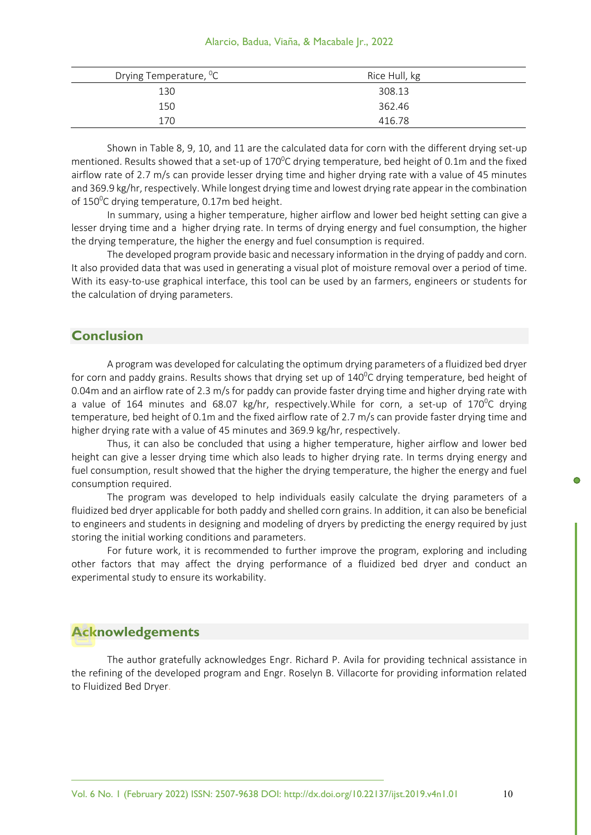#### Alarcio, Badua, Viaña, & Macabale Jr., 2022

| Drying Temperature, <sup>0</sup> C | Rice Hull, kg |
|------------------------------------|---------------|
| 130                                | 308.13        |
| 150                                | 362.46        |
| 170                                | 416.78        |

Shown in Table 8, 9, 10, and 11 are the calculated data for corn with the different drying set-up mentioned. Results showed that a set-up of  $170^{\circ}$ C drying temperature, bed height of 0.1m and the fixed airflow rate of 2.7 m/s can provide lesser drying time and higher drying rate with a value of 45 minutes and 369.9 kg/hr, respectively. While longest drying time and lowest drying rate appear in the combination of 150°C drying temperature, 0.17m bed height.

In summary, using a higher temperature, higher airflow and lower bed height setting can give a lesser drying time and a higher drying rate. In terms of drying energy and fuel consumption, the higher the drying temperature, the higher the energy and fuel consumption is required.

The developed program provide basic and necessary information in the drying of paddy and corn. It also provided data that was used in generating a visual plot of moisture removal over a period of time. With its easy-to-use graphical interface, this tool can be used by an farmers, engineers or students for the calculation of drying parameters.

# **Conclusion**

A program was developed for calculating the optimum drying parameters of a fluidized bed dryer for corn and paddy grains. Results shows that drying set up of  $140^{\circ}$ C drying temperature, bed height of 0.04m and an airflow rate of 2.3 m/s for paddy can provide faster drying time and higher drying rate with a value of 164 minutes and 68.07 kg/hr, respectively. While for corn, a set-up of 170<sup>0</sup>C drying temperature, bed height of 0.1m and the fixed airflow rate of 2.7 m/s can provide faster drying time and higher drying rate with a value of 45 minutes and 369.9 kg/hr, respectively.

Thus, it can also be concluded that using a higher temperature, higher airflow and lower bed height can give a lesser drying time which also leads to higher drying rate. In terms drying energy and fuel consumption, result showed that the higher the drying temperature, the higher the energy and fuel consumption required.

The program was developed to help individuals easily calculate the drying parameters of a fluidized bed dryer applicable for both paddy and shelled corn grains. In addition, it can also be beneficial to engineers and students in designing and modeling of dryers by predicting the energy required by just storing the initial working conditions and parameters.

For future work, it is recommended to further improve the program, exploring and including other factors that may affect the drying performance of a fluidized bed dryer and conduct an experimental study to ensure its workability.

# **Acknowledgements**

The author gratefully acknowledges Engr. Richard P. Avila for providing technical assistance in the refining of the developed program and Engr. Roselyn B. Villacorte for providing information related to Fluidized Bed Dryer.